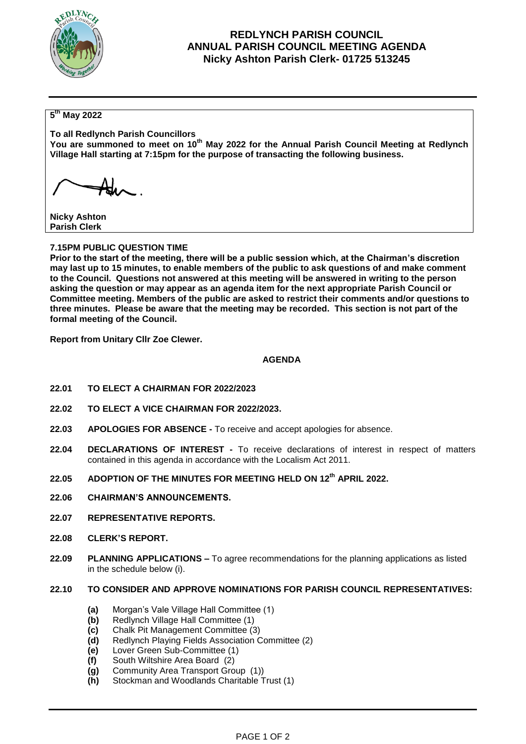

## **REDLYNCH PARISH COUNCIL ANNUAL PARISH COUNCIL MEETING AGENDA Nicky Ashton Parish Clerk- 01725 513245**

## **5 th May 2022**

**To all Redlynch Parish Councillors** You are summoned to meet on 10<sup>th</sup> May 2022 for the Annual Parish Council Meeting at Redlynch **Village Hall starting at 7:15pm for the purpose of transacting the following business.**

**Nicky Ashton Parish Clerk**

#### **7.15PM PUBLIC QUESTION TIME**

**Prior to the start of the meeting, there will be a public session which, at the Chairman's discretion may last up to 15 minutes, to enable members of the public to ask questions of and make comment to the Council. Questions not answered at this meeting will be answered in writing to the person asking the question or may appear as an agenda item for the next appropriate Parish Council or Committee meeting. Members of the public are asked to restrict their comments and/or questions to three minutes. Please be aware that the meeting may be recorded. This section is not part of the formal meeting of the Council.** 

**Report from Unitary Cllr Zoe Clewer.**

#### **AGENDA**

- **22.01 TO ELECT A CHAIRMAN FOR 2022/2023**
- **22.02 TO ELECT A VICE CHAIRMAN FOR 2022/2023.**
- **22.03 APOLOGIES FOR ABSENCE -** To receive and accept apologies for absence.
- **22.04 DECLARATIONS OF INTEREST -** To receive declarations of interest in respect of matters contained in this agenda in accordance with the Localism Act 2011.
- **22.05 ADOPTION OF THE MINUTES FOR MEETING HELD ON 12th APRIL 2022.**
- **22.06 CHAIRMAN'S ANNOUNCEMENTS.**
- **22.07 REPRESENTATIVE REPORTS.**
- **22.08 CLERK'S REPORT.**
- **22.09 PLANNING APPLICATIONS –** To agree recommendations for the planning applications as listed in the schedule below (i).

#### **22.10 TO CONSIDER AND APPROVE NOMINATIONS FOR PARISH COUNCIL REPRESENTATIVES:**

- **(a)** Morgan's Vale Village Hall Committee (1)
- **(b)** Redlynch Village Hall Committee (1)
- **(c)** Chalk Pit Management Committee (3)
- **(d)** Redlynch Playing Fields Association Committee (2)
- **(e)** Lover Green Sub-Committee (1)
- **(f)** South Wiltshire Area Board (2)
- **(g)** Community Area Transport Group (1))
- **(h)** Stockman and Woodlands Charitable Trust (1)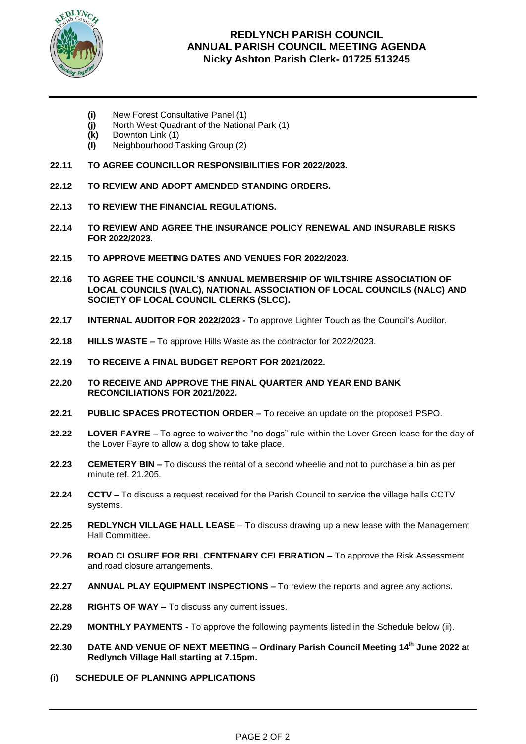

# **REDLYNCH PARISH COUNCIL ANNUAL PARISH COUNCIL MEETING AGENDA Nicky Ashton Parish Clerk- 01725 513245**

- **(i)** New Forest Consultative Panel (1)
- **(j)** North West Quadrant of the National Park (1)
- **(k)** Downton Link (1)
- **(l)** Neighbourhood Tasking Group (2)
- **22.11 TO AGREE COUNCILLOR RESPONSIBILITIES FOR 2022/2023.**
- **22.12 TO REVIEW AND ADOPT AMENDED STANDING ORDERS.**
- **22.13 TO REVIEW THE FINANCIAL REGULATIONS.**
- **22.14 TO REVIEW AND AGREE THE INSURANCE POLICY RENEWAL AND INSURABLE RISKS FOR 2022/2023.**
- **22.15 TO APPROVE MEETING DATES AND VENUES FOR 2022/2023.**
- **22.16 TO AGREE THE COUNCIL'S ANNUAL MEMBERSHIP OF WILTSHIRE ASSOCIATION OF LOCAL COUNCILS (WALC), NATIONAL ASSOCIATION OF LOCAL COUNCILS (NALC) AND SOCIETY OF LOCAL COUNCIL CLERKS (SLCC).**
- **22.17 INTERNAL AUDITOR FOR 2022/2023 -** To approve Lighter Touch as the Council's Auditor.
- **22.18 HILLS WASTE –** To approve Hills Waste as the contractor for 2022/2023.
- **22.19 TO RECEIVE A FINAL BUDGET REPORT FOR 2021/2022.**
- **22.20 TO RECEIVE AND APPROVE THE FINAL QUARTER AND YEAR END BANK RECONCILIATIONS FOR 2021/2022.**
- **22.21 PUBLIC SPACES PROTECTION ORDER –** To receive an update on the proposed PSPO.
- **22.22 LOVER FAYRE –** To agree to waiver the "no dogs" rule within the Lover Green lease for the day of the Lover Fayre to allow a dog show to take place.
- **22.23 CEMETERY BIN –** To discuss the rental of a second wheelie and not to purchase a bin as per minute ref. 21.205.
- **22.24 CCTV –** To discuss a request received for the Parish Council to service the village halls CCTV systems.
- **22.25 REDLYNCH VILLAGE HALL LEASE**  To discuss drawing up a new lease with the Management Hall Committee.
- **22.26 ROAD CLOSURE FOR RBL CENTENARY CELEBRATION –** To approve the Risk Assessment and road closure arrangements.
- **22.27 ANNUAL PLAY EQUIPMENT INSPECTIONS –** To review the reports and agree any actions.
- **22.28 RIGHTS OF WAY –** To discuss any current issues.
- **22.29 MONTHLY PAYMENTS -** To approve the following payments listed in the Schedule below (ii).
- **22.30 DATE AND VENUE OF NEXT MEETING – Ordinary Parish Council Meeting 14th June 2022 at Redlynch Village Hall starting at 7.15pm.**
- **(i) SCHEDULE OF PLANNING APPLICATIONS**